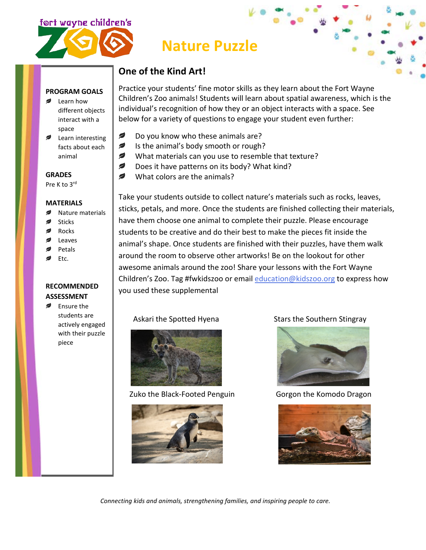



# **Nature Puzzle**

### **One of the Kind Art!**

### **PROGRAM GOALS**

- Learn how different objects interact with a space
- Learn interesting facts about each animal

**GRADES**

Pre K to 3rd

#### **MATERIALS**

- Nature materials
- Sticks
- Rocks
- Leaves
- Petals
- Etc.

### **RECOMMENDED ASSESSMENT**

**■** Ensure the students are actively engaged with their puzzle piece

Practice your students' fine motor skills as they learn about the Fort Wayne Children's Zoo animals! Students will learn about spatial awareness, which is the individual's recognition of how they or an object interacts with a space. See below for a variety of questions to engage your student even further:

- Ø Do you know who these animals are?
- Ø Is the animal's body smooth or rough?
- What materials can you use to resemble that texture?
- ✍ Does it have patterns on its body? What kind?
- ✍ What colors are the animals?

Take your students outside to collect nature's materials such as rocks, leaves, sticks, petals, and more. Once the students are finished collecting their materials, have them choose one animal to complete their puzzle. Please encourage students to be creative and do their best to make the pieces fit inside the animal's shape. Once students are finished with their puzzles, have them walk around the room to observe other artworks! Be on the lookout for other awesome animals around the zoo! Share your lessons with the Fort Wayne Children's Zoo. Tag #fwkidszoo or email [education@kidszoo.org](mailto:education@kidszoo.org) to express how you used these supplemental



Zuko the Black-Footed Penguin Gorgon the Komodo Dragon



Askari the Spotted Hyena Stars the Southern Stingray





*Connecting kids and animals, strengthening families, and inspiring people to care.*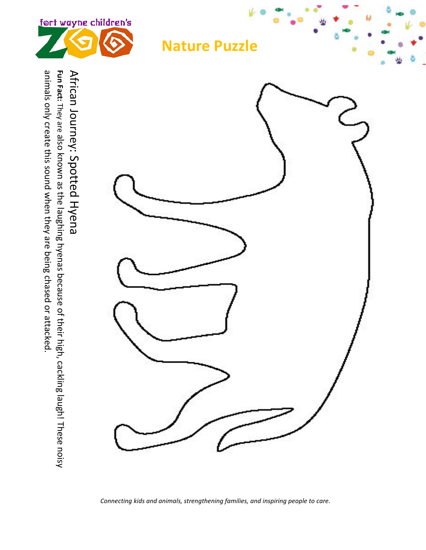

*Connecting kids and animals, strengthening families, and inspiring people to care.*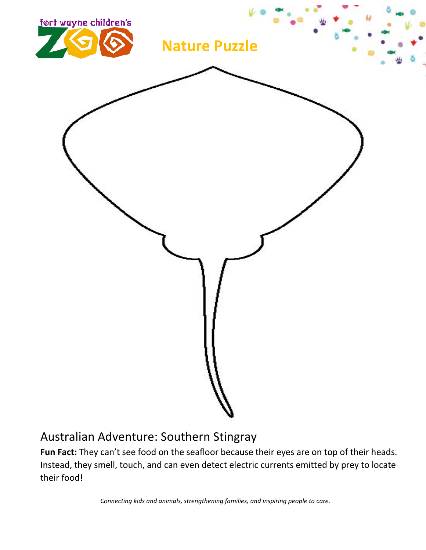

### Australian Adventure: Southern Stingray

**Fun Fact:** They can't see food on the seafloor because their eyes are on top of their heads. Instead, they smell, touch, and can even detect electric currents emitted by prey to locate their food!

*Connecting kids and animals, strengthening families, and inspiring people to care.*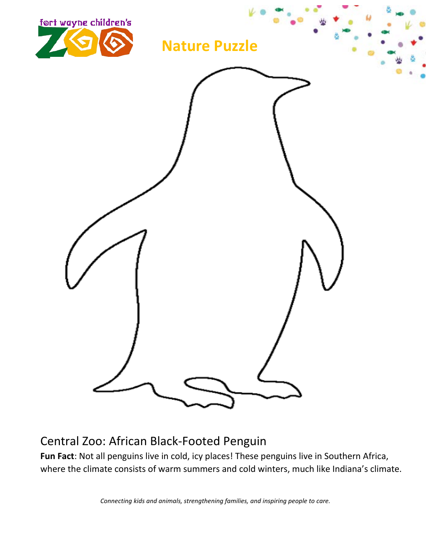

## Central Zoo: African Black-Footed Penguin

Fun Fact: Not all penguins live in cold, icy places! These penguins live in Southern Africa, where the climate consists of warm summers and cold winters, much like Indiana's climate.

*Connecting kids and animals, strengthening families, and inspiring people to care.*